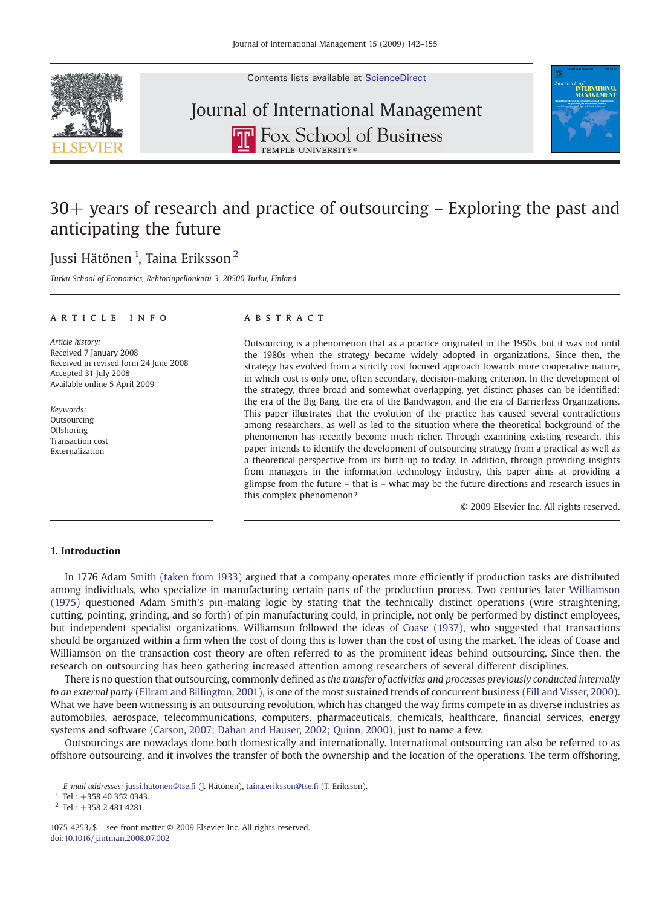Contents lists available at [ScienceDirect](http://www.sciencedirect.com/science/journal/10754253)



# Journal of International Management**THE ROX School of Business**



# 30+ years of research and practice of outsourcing – Exploring the past and anticipating the future

## Jussi Hätönen <sup>1</sup>, Taina Eriksson <sup>2</sup>

Turku School of Economics, Rehtorinpellonkatu 3, 20500 Turku, Finland

### article info abstract

Article history: Received 7 January 2008 Received in revised form 24 June 2008 Accepted 31 July 2008 Available online 5 April 2009

Keywords: **Outsourcing Offshoring** Transaction cost Externalization

Outsourcing is a phenomenon that as a practice originated in the 1950s, but it was not until the 1980s when the strategy became widely adopted in organizations. Since then, the strategy has evolved from a strictly cost focused approach towards more cooperative nature, in which cost is only one, often secondary, decision-making criterion. In the development of the strategy, three broad and somewhat overlapping, yet distinct phases can be identified: the era of the Big Bang, the era of the Bandwagon, and the era of Barrierless Organizations. This paper illustrates that the evolution of the practice has caused several contradictions among researchers, as well as led to the situation where the theoretical background of the phenomenon has recently become much richer. Through examining existing research, this paper intends to identify the development of outsourcing strategy from a practical as well as a theoretical perspective from its birth up to today. In addition, through providing insights from managers in the information technology industry, this paper aims at providing a glimpse from the future – that is – what may be the future directions and research issues in this complex phenomenon?

© 2009 Elsevier Inc. All rights reserved.

## 1. Introduction

In 1776 Adam [Smith \(taken from 1933\)](#page--1-0) argued that a company operates more efficiently if production tasks are distributed among individuals, who specialize in manufacturing certain parts of the production process. Two centuries later [Williamson](#page--1-0) [\(1975\)](#page--1-0) questioned Adam Smith's pin-making logic by stating that the technically distinct operations (wire straightening, cutting, pointing, grinding, and so forth) of pin manufacturing could, in principle, not only be performed by distinct employees, but independent specialist organizations. Williamson followed the ideas of [Coase \(1937\)](#page--1-0), who suggested that transactions should be organized within a firm when the cost of doing this is lower than the cost of using the market. The ideas of Coase and Williamson on the transaction cost theory are often referred to as the prominent ideas behind outsourcing. Since then, the research on outsourcing has been gathering increased attention among researchers of several different disciplines.

There is no question that outsourcing, commonly defined as the transfer of activities and processes previously conducted internally to an external party [\(Ellram and Billington, 2001\)](#page--1-0), is one of the most sustained trends of concurrent business ([Fill and Visser, 2000](#page--1-0)). What we have been witnessing is an outsourcing revolution, which has changed the way firms compete in as diverse industries as automobiles, aerospace, telecommunications, computers, pharmaceuticals, chemicals, healthcare, financial services, energy systems and software ([Carson, 2007; Dahan and Hauser, 2002; Quinn, 2000](#page--1-0)), just to name a few.

Outsourcings are nowadays done both domestically and internationally. International outsourcing can also be referred to as offshore outsourcing, and it involves the transfer of both the ownership and the location of the operations. The term offshoring,

 $1$  Tel.: +358 40 352 0343.

E-mail addresses: [jussi.hatonen@tse.](mailto:jussi.hatonen@tse.fi)fi (J. Hätönen), [taina.eriksson@tse.](mailto:taina.eriksson@tse.fi)fi (T. Eriksson).

<sup>2</sup> Tel.: +358 2 481 4281.

<sup>1075-4253/\$</sup> – see front matter © 2009 Elsevier Inc. All rights reserved. doi:[10.1016/j.intman.2008.07.002](http://dx.doi.org/10.1016/j.intman.2008.07.002)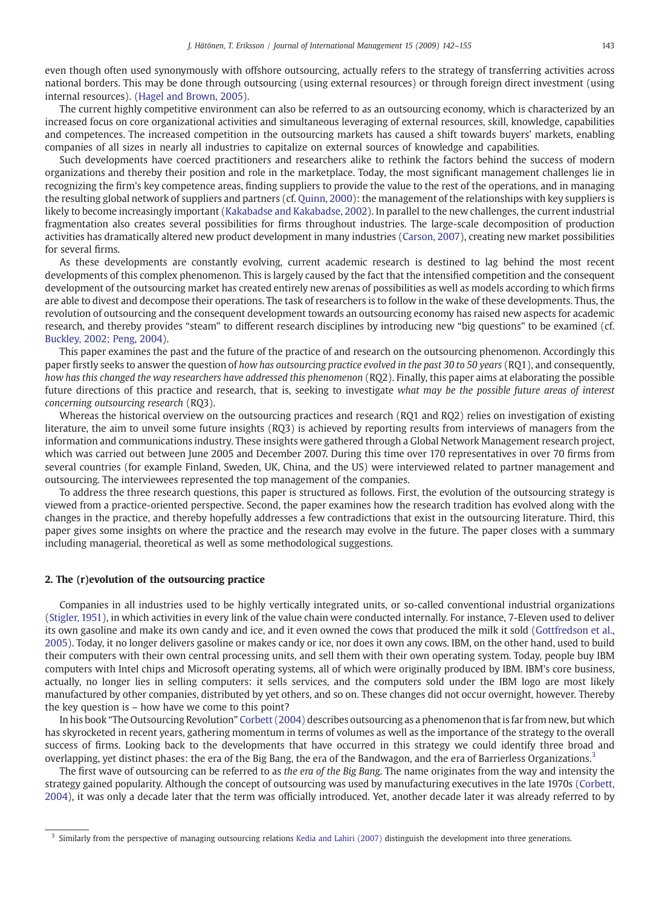even though often used synonymously with offshore outsourcing, actually refers to the strategy of transferring activities across national borders. This may be done through outsourcing (using external resources) or through foreign direct investment (using internal resources). [\(Hagel and Brown, 2005\)](#page--1-0).

The current highly competitive environment can also be referred to as an outsourcing economy, which is characterized by an increased focus on core organizational activities and simultaneous leveraging of external resources, skill, knowledge, capabilities and competences. The increased competition in the outsourcing markets has caused a shift towards buyers' markets, enabling companies of all sizes in nearly all industries to capitalize on external sources of knowledge and capabilities.

Such developments have coerced practitioners and researchers alike to rethink the factors behind the success of modern organizations and thereby their position and role in the marketplace. Today, the most significant management challenges lie in recognizing the firm's key competence areas, finding suppliers to provide the value to the rest of the operations, and in managing the resulting global network of suppliers and partners (cf. [Quinn, 2000](#page--1-0)): the management of the relationships with key suppliers is likely to become increasingly important ([Kakabadse and Kakabadse, 2002\)](#page--1-0). In parallel to the new challenges, the current industrial fragmentation also creates several possibilities for firms throughout industries. The large-scale decomposition of production activities has dramatically altered new product development in many industries ([Carson, 2007](#page--1-0)), creating new market possibilities for several firms.

As these developments are constantly evolving, current academic research is destined to lag behind the most recent developments of this complex phenomenon. This is largely caused by the fact that the intensified competition and the consequent development of the outsourcing market has created entirely new arenas of possibilities as well as models according to which firms are able to divest and decompose their operations. The task of researchers is to follow in the wake of these developments. Thus, the revolution of outsourcing and the consequent development towards an outsourcing economy has raised new aspects for academic research, and thereby provides "steam" to different research disciplines by introducing new "big questions" to be examined (cf. [Buckley, 2002; Peng, 2004\)](#page--1-0).

This paper examines the past and the future of the practice of and research on the outsourcing phenomenon. Accordingly this paper firstly seeks to answer the question of how has outsourcing practice evolved in the past 30 to 50 years (RQ1), and consequently, how has this changed the way researchers have addressed this phenomenon (RQ2). Finally, this paper aims at elaborating the possible future directions of this practice and research, that is, seeking to investigate what may be the possible future areas of interest concerning outsourcing research (RQ3).

Whereas the historical overview on the outsourcing practices and research (RQ1 and RQ2) relies on investigation of existing literature, the aim to unveil some future insights (RQ3) is achieved by reporting results from interviews of managers from the information and communications industry. These insights were gathered through a Global Network Management research project, which was carried out between June 2005 and December 2007. During this time over 170 representatives in over 70 firms from several countries (for example Finland, Sweden, UK, China, and the US) were interviewed related to partner management and outsourcing. The interviewees represented the top management of the companies.

To address the three research questions, this paper is structured as follows. First, the evolution of the outsourcing strategy is viewed from a practice-oriented perspective. Second, the paper examines how the research tradition has evolved along with the changes in the practice, and thereby hopefully addresses a few contradictions that exist in the outsourcing literature. Third, this paper gives some insights on where the practice and the research may evolve in the future. The paper closes with a summary including managerial, theoretical as well as some methodological suggestions.

### 2. The (r)evolution of the outsourcing practice

Companies in all industries used to be highly vertically integrated units, or so-called conventional industrial organizations [\(Stigler, 1951\)](#page--1-0), in which activities in every link of the value chain were conducted internally. For instance, 7-Eleven used to deliver its own gasoline and make its own candy and ice, and it even owned the cows that produced the milk it sold [\(Gottfredson et al.,](#page--1-0) [2005](#page--1-0)). Today, it no longer delivers gasoline or makes candy or ice, nor does it own any cows. IBM, on the other hand, used to build their computers with their own central processing units, and sell them with their own operating system. Today, people buy IBM computers with Intel chips and Microsoft operating systems, all of which were originally produced by IBM. IBM's core business, actually, no longer lies in selling computers: it sells services, and the computers sold under the IBM logo are most likely manufactured by other companies, distributed by yet others, and so on. These changes did not occur overnight, however. Thereby the key question is – how have we come to this point?

In his book "The Outsourcing Revolution" [Corbett \(2004\)](#page--1-0) describes outsourcing as a phenomenon that is far from new, but which has skyrocketed in recent years, gathering momentum in terms of volumes as well as the importance of the strategy to the overall success of firms. Looking back to the developments that have occurred in this strategy we could identify three broad and overlapping, yet distinct phases: the era of the Big Bang, the era of the Bandwagon, and the era of Barrierless Organizations.3

The first wave of outsourcing can be referred to as the era of the Big Bang. The name originates from the way and intensity the strategy gained popularity. Although the concept of outsourcing was used by manufacturing executives in the late 1970s [\(Corbett,](#page--1-0) [2004](#page--1-0)), it was only a decade later that the term was officially introduced. Yet, another decade later it was already referred to by

<sup>&</sup>lt;sup>3</sup> Similarly from the perspective of managing outsourcing relations [Kedia and Lahiri \(2007\)](#page--1-0) distinguish the development into three generations.